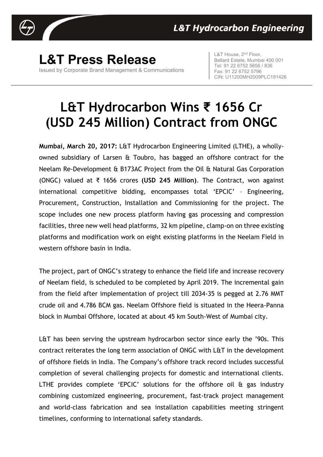

**L&T Press Release** Issued by Corporate Brand Management & Communications L&T House, 2<sup>nd</sup> Floor, Ballard Estate, Mumbai 400 001 Tel: 91 22 6752 5656 / 836 Fax: 91 22 6752 5796 CIN: U11200MH2009PLC191426

## **L&T Hydrocarbon Wins ₹ 1656 Cr (USD 245 Million) Contract from ONGC**

**Mumbai, March 20, 2017:** L&T Hydrocarbon Engineering Limited (LTHE), a whollyowned subsidiary of Larsen & Toubro, has bagged an offshore contract for the Neelam Re-Development & B173AC Project from the Oil & Natural Gas Corporation (ONGC) valued at ₹ 1656 crores **(USD 245 Million)**. The Contract, won against international competitive bidding, encompasses total 'EPCIC' – Engineering, Procurement, Construction, Installation and Commissioning for the project. The scope includes one new process platform having gas processing and compression facilities, three new well head platforms, 32 km pipeline, clamp-on on three existing platforms and modification work on eight existing platforms in the Neelam Field in western offshore basin in India.

The project, part of ONGC's strategy to enhance the field life and increase recovery of Neelam field, is scheduled to be completed by April 2019. The incremental gain from the field after implementation of project till 2034-35 is pegged at 2.76 MMT crude oil and 4.786 BCM gas. Neelam Offshore field is situated in the Heera-Panna block in Mumbai Offshore, located at about 45 km South-West of Mumbai city.

L&T has been serving the upstream hydrocarbon sector since early the '90s. This contract reiterates the long term association of ONGC with L&T in the development of offshore fields in India. The Company's offshore track record includes successful completion of several challenging projects for domestic and international clients. LTHE provides complete 'EPCIC' solutions for the offshore oil & gas industry combining customized engineering, procurement, fast-track project management and world-class fabrication and sea installation capabilities meeting stringent timelines, conforming to international safety standards.